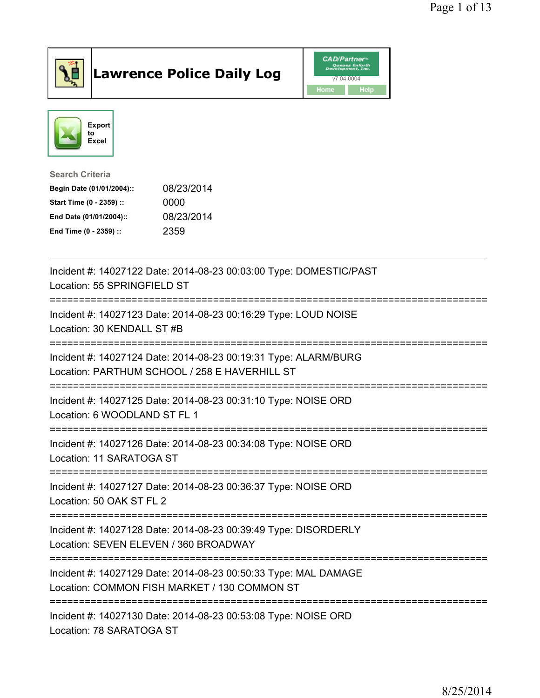

## Lawrence Police Daily Log **Daniel CAD/Partner**





Search Criteria Begin Date (01/01/2004):: 08/23/2014 Start Time (0 - 2359) :: 0000 End Date (01/01/2004):: 08/23/2014 End Time (0 - 2359) :: 2359

| Incident #: 14027122 Date: 2014-08-23 00:03:00 Type: DOMESTIC/PAST<br>Location: 55 SPRINGFIELD ST                                                                      |
|------------------------------------------------------------------------------------------------------------------------------------------------------------------------|
| Incident #: 14027123 Date: 2014-08-23 00:16:29 Type: LOUD NOISE<br>Location: 30 KENDALL ST #B                                                                          |
| Incident #: 14027124 Date: 2014-08-23 00:19:31 Type: ALARM/BURG<br>Location: PARTHUM SCHOOL / 258 E HAVERHILL ST                                                       |
| Incident #: 14027125 Date: 2014-08-23 00:31:10 Type: NOISE ORD<br>Location: 6 WOODLAND ST FL 1                                                                         |
| Incident #: 14027126 Date: 2014-08-23 00:34:08 Type: NOISE ORD<br>Location: 11 SARATOGA ST                                                                             |
| Incident #: 14027127 Date: 2014-08-23 00:36:37 Type: NOISE ORD<br>Location: 50 OAK ST FL 2<br>------------------                                                       |
| Incident #: 14027128 Date: 2014-08-23 00:39:49 Type: DISORDERLY<br>Location: SEVEN ELEVEN / 360 BROADWAY                                                               |
| Incident #: 14027129 Date: 2014-08-23 00:50:33 Type: MAL DAMAGE<br>Location: COMMON FISH MARKET / 130 COMMON ST<br>-----------------------------<br>------------------ |
| Incident #: 14027130 Date: 2014-08-23 00:53:08 Type: NOISE ORD<br>Location: 78 SARATOGA ST                                                                             |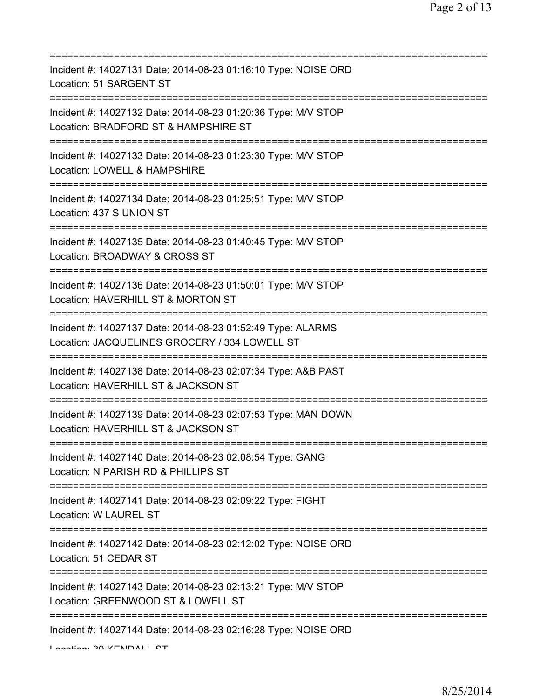| Incident #: 14027131 Date: 2014-08-23 01:16:10 Type: NOISE ORD<br>Location: 51 SARGENT ST                                  |
|----------------------------------------------------------------------------------------------------------------------------|
| Incident #: 14027132 Date: 2014-08-23 01:20:36 Type: M/V STOP<br>Location: BRADFORD ST & HAMPSHIRE ST                      |
| Incident #: 14027133 Date: 2014-08-23 01:23:30 Type: M/V STOP<br>Location: LOWELL & HAMPSHIRE<br>=======================   |
| Incident #: 14027134 Date: 2014-08-23 01:25:51 Type: M/V STOP<br>Location: 437 S UNION ST                                  |
| Incident #: 14027135 Date: 2014-08-23 01:40:45 Type: M/V STOP<br>Location: BROADWAY & CROSS ST<br>======================== |
| Incident #: 14027136 Date: 2014-08-23 01:50:01 Type: M/V STOP<br>Location: HAVERHILL ST & MORTON ST                        |
| Incident #: 14027137 Date: 2014-08-23 01:52:49 Type: ALARMS<br>Location: JACQUELINES GROCERY / 334 LOWELL ST               |
| Incident #: 14027138 Date: 2014-08-23 02:07:34 Type: A&B PAST<br>Location: HAVERHILL ST & JACKSON ST                       |
| Incident #: 14027139 Date: 2014-08-23 02:07:53 Type: MAN DOWN<br>Location: HAVERHILL ST & JACKSON ST                       |
| Incident #: 14027140 Date: 2014-08-23 02:08:54 Type: GANG<br>Location: N PARISH RD & PHILLIPS ST                           |
| Incident #: 14027141 Date: 2014-08-23 02:09:22 Type: FIGHT<br>Location: W LAUREL ST                                        |
| Incident #: 14027142 Date: 2014-08-23 02:12:02 Type: NOISE ORD<br>Location: 51 CEDAR ST                                    |
| Incident #: 14027143 Date: 2014-08-23 02:13:21 Type: M/V STOP<br>Location: GREENWOOD ST & LOWELL ST                        |
| ;========================<br>Incident #: 14027144 Date: 2014-08-23 02:16:28 Type: NOISE ORD                                |

Location: 30 KENDALL ST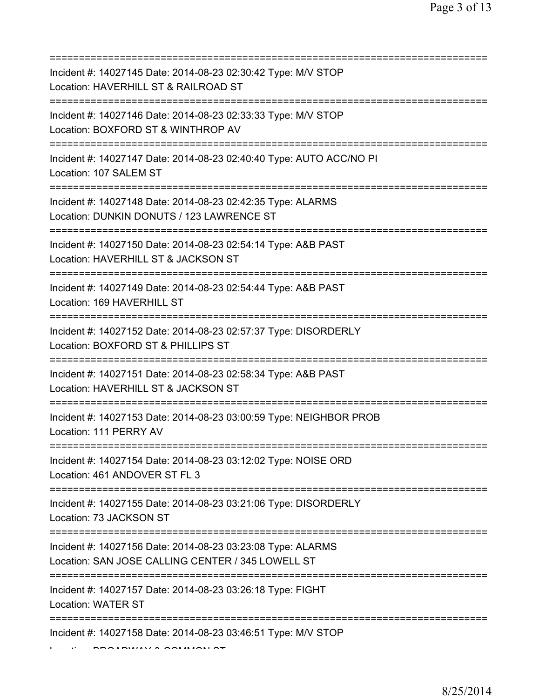| Incident #: 14027145 Date: 2014-08-23 02:30:42 Type: M/V STOP<br>Location: HAVERHILL ST & RAILROAD ST<br>=========================           |
|----------------------------------------------------------------------------------------------------------------------------------------------|
| Incident #: 14027146 Date: 2014-08-23 02:33:33 Type: M/V STOP<br>Location: BOXFORD ST & WINTHROP AV<br>===================================== |
| Incident #: 14027147 Date: 2014-08-23 02:40:40 Type: AUTO ACC/NO PI<br>Location: 107 SALEM ST<br>===========================                 |
| Incident #: 14027148 Date: 2014-08-23 02:42:35 Type: ALARMS<br>Location: DUNKIN DONUTS / 123 LAWRENCE ST<br>==================               |
| Incident #: 14027150 Date: 2014-08-23 02:54:14 Type: A&B PAST<br>Location: HAVERHILL ST & JACKSON ST                                         |
| Incident #: 14027149 Date: 2014-08-23 02:54:44 Type: A&B PAST<br>Location: 169 HAVERHILL ST                                                  |
| Incident #: 14027152 Date: 2014-08-23 02:57:37 Type: DISORDERLY<br>Location: BOXFORD ST & PHILLIPS ST                                        |
| Incident #: 14027151 Date: 2014-08-23 02:58:34 Type: A&B PAST<br>Location: HAVERHILL ST & JACKSON ST                                         |
| Incident #: 14027153 Date: 2014-08-23 03:00:59 Type: NEIGHBOR PROB<br>Location: 111 PERRY AV                                                 |
| Incident #: 14027154 Date: 2014-08-23 03:12:02 Type: NOISE ORD<br>Location: 461 ANDOVER ST FL 3                                              |
| Incident #: 14027155 Date: 2014-08-23 03:21:06 Type: DISORDERLY<br>Location: 73 JACKSON ST                                                   |
| Incident #: 14027156 Date: 2014-08-23 03:23:08 Type: ALARMS<br>Location: SAN JOSE CALLING CENTER / 345 LOWELL ST                             |
| :==================================<br>Incident #: 14027157 Date: 2014-08-23 03:26:18 Type: FIGHT<br><b>Location: WATER ST</b>               |
| Incident #: 14027158 Date: 2014-08-23 03:46:51 Type: M/V STOP                                                                                |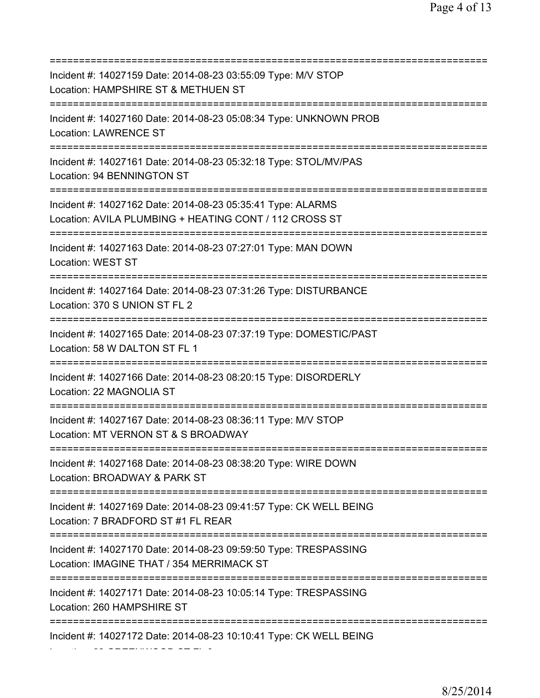=========================================================================== Incident #: 14027159 Date: 2014-08-23 03:55:09 Type: M/V STOP Location: HAMPSHIRE ST & METHUEN ST =========================================================================== Incident #: 14027160 Date: 2014-08-23 05:08:34 Type: UNKNOWN PROB Location: LAWRENCE ST =========================================================================== Incident #: 14027161 Date: 2014-08-23 05:32:18 Type: STOL/MV/PAS Location: 94 BENNINGTON ST =========================================================================== Incident #: 14027162 Date: 2014-08-23 05:35:41 Type: ALARMS Location: AVILA PLUMBING + HEATING CONT / 112 CROSS ST =========================================================================== Incident #: 14027163 Date: 2014-08-23 07:27:01 Type: MAN DOWN Location: WEST ST =========================================================================== Incident #: 14027164 Date: 2014-08-23 07:31:26 Type: DISTURBANCE Location: 370 S UNION ST FL 2 =========================================================================== Incident #: 14027165 Date: 2014-08-23 07:37:19 Type: DOMESTIC/PAST Location: 58 W DALTON ST FL 1 =========================================================================== Incident #: 14027166 Date: 2014-08-23 08:20:15 Type: DISORDERLY Location: 22 MAGNOLIA ST =========================================================================== Incident #: 14027167 Date: 2014-08-23 08:36:11 Type: M/V STOP Location: MT VERNON ST & S BROADWAY =========================================================================== Incident #: 14027168 Date: 2014-08-23 08:38:20 Type: WIRE DOWN Location: BROADWAY & PARK ST =========================================================================== Incident #: 14027169 Date: 2014-08-23 09:41:57 Type: CK WELL BEING Location: 7 BRADFORD ST #1 FL REAR =========================================================================== Incident #: 14027170 Date: 2014-08-23 09:59:50 Type: TRESPASSING Location: IMAGINE THAT / 354 MERRIMACK ST =========================================================================== Incident #: 14027171 Date: 2014-08-23 10:05:14 Type: TRESPASSING Location: 260 HAMPSHIRE ST =========================================================================== Incident #: 14027172 Date: 2014-08-23 10:10:41 Type: CK WELL BEING

Location: 62 GREENWOOD ST FL 3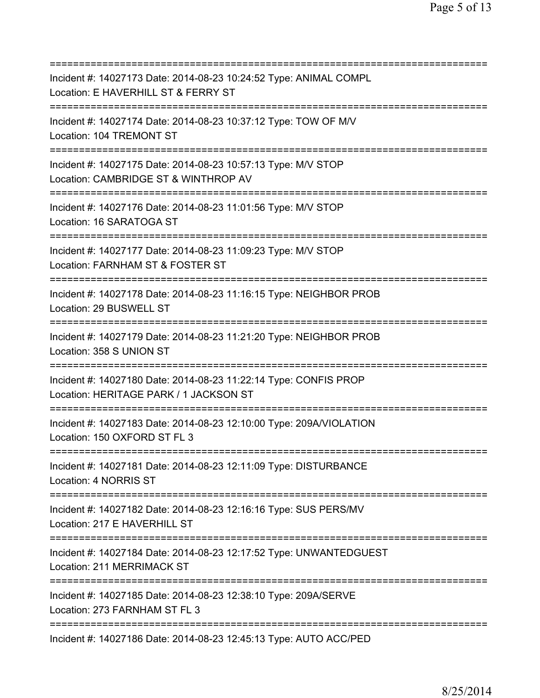=========================================================================== Incident #: 14027173 Date: 2014-08-23 10:24:52 Type: ANIMAL COMPL Location: E HAVERHILL ST & FERRY ST =========================================================================== Incident #: 14027174 Date: 2014-08-23 10:37:12 Type: TOW OF M/V Location: 104 TREMONT ST =========================================================================== Incident #: 14027175 Date: 2014-08-23 10:57:13 Type: M/V STOP Location: CAMBRIDGE ST & WINTHROP AV =========================================================================== Incident #: 14027176 Date: 2014-08-23 11:01:56 Type: M/V STOP Location: 16 SARATOGA ST =========================================================================== Incident #: 14027177 Date: 2014-08-23 11:09:23 Type: M/V STOP Location: FARNHAM ST & FOSTER ST =========================================================================== Incident #: 14027178 Date: 2014-08-23 11:16:15 Type: NEIGHBOR PROB Location: 29 BUSWELL ST =========================================================================== Incident #: 14027179 Date: 2014-08-23 11:21:20 Type: NEIGHBOR PROB Location: 358 S UNION ST =========================================================================== Incident #: 14027180 Date: 2014-08-23 11:22:14 Type: CONFIS PROP Location: HERITAGE PARK / 1 JACKSON ST =========================================================================== Incident #: 14027183 Date: 2014-08-23 12:10:00 Type: 209A/VIOLATION Location: 150 OXFORD ST FL 3 =========================================================================== Incident #: 14027181 Date: 2014-08-23 12:11:09 Type: DISTURBANCE Location: 4 NORRIS ST =========================================================================== Incident #: 14027182 Date: 2014-08-23 12:16:16 Type: SUS PERS/MV Location: 217 E HAVERHILL ST =========================================================================== Incident #: 14027184 Date: 2014-08-23 12:17:52 Type: UNWANTEDGUEST Location: 211 MERRIMACK ST =========================================================================== Incident #: 14027185 Date: 2014-08-23 12:38:10 Type: 209A/SERVE Location: 273 FARNHAM ST FL 3 =========================================================================== Incident #: 14027186 Date: 2014-08-23 12:45:13 Type: AUTO ACC/PED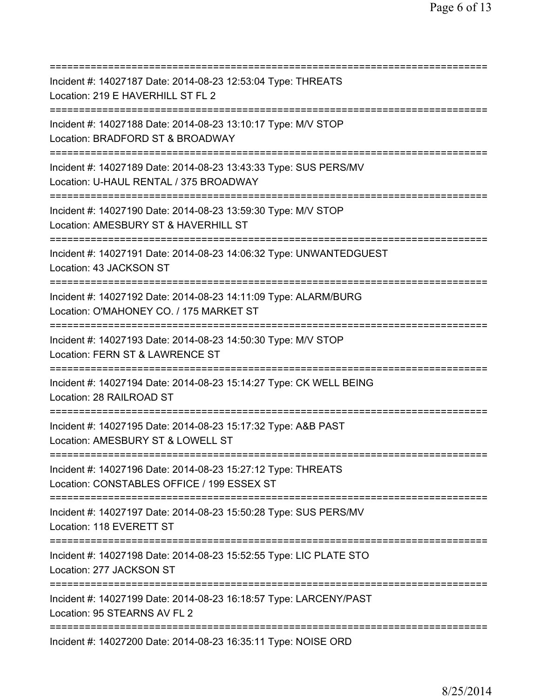| Incident #: 14027187 Date: 2014-08-23 12:53:04 Type: THREATS<br>Location: 219 E HAVERHILL ST FL 2                                                          |
|------------------------------------------------------------------------------------------------------------------------------------------------------------|
| =======================<br>Incident #: 14027188 Date: 2014-08-23 13:10:17 Type: M/V STOP<br>Location: BRADFORD ST & BROADWAY<br>========================== |
| Incident #: 14027189 Date: 2014-08-23 13:43:33 Type: SUS PERS/MV<br>Location: U-HAUL RENTAL / 375 BROADWAY                                                 |
| Incident #: 14027190 Date: 2014-08-23 13:59:30 Type: M/V STOP<br>Location: AMESBURY ST & HAVERHILL ST                                                      |
| Incident #: 14027191 Date: 2014-08-23 14:06:32 Type: UNWANTEDGUEST<br>Location: 43 JACKSON ST<br>==================================                        |
| Incident #: 14027192 Date: 2014-08-23 14:11:09 Type: ALARM/BURG<br>Location: O'MAHONEY CO. / 175 MARKET ST                                                 |
| Incident #: 14027193 Date: 2014-08-23 14:50:30 Type: M/V STOP<br>Location: FERN ST & LAWRENCE ST                                                           |
| Incident #: 14027194 Date: 2014-08-23 15:14:27 Type: CK WELL BEING<br>Location: 28 RAILROAD ST                                                             |
| Incident #: 14027195 Date: 2014-08-23 15:17:32 Type: A&B PAST<br>Location: AMESBURY ST & LOWELL ST                                                         |
| Incident #: 14027196 Date: 2014-08-23 15:27:12 Type: THREATS<br>Location: CONSTABLES OFFICE / 199 ESSEX ST<br>==========================                   |
| Incident #: 14027197 Date: 2014-08-23 15:50:28 Type: SUS PERS/MV<br>Location: 118 EVERETT ST                                                               |
| Incident #: 14027198 Date: 2014-08-23 15:52:55 Type: LIC PLATE STO<br>Location: 277 JACKSON ST                                                             |
| Incident #: 14027199 Date: 2014-08-23 16:18:57 Type: LARCENY/PAST<br>Location: 95 STEARNS AV FL 2<br>==========                                            |
| Incident #: 14027200 Date: 2014-08-23 16:35:11 Type: NOISE ORD                                                                                             |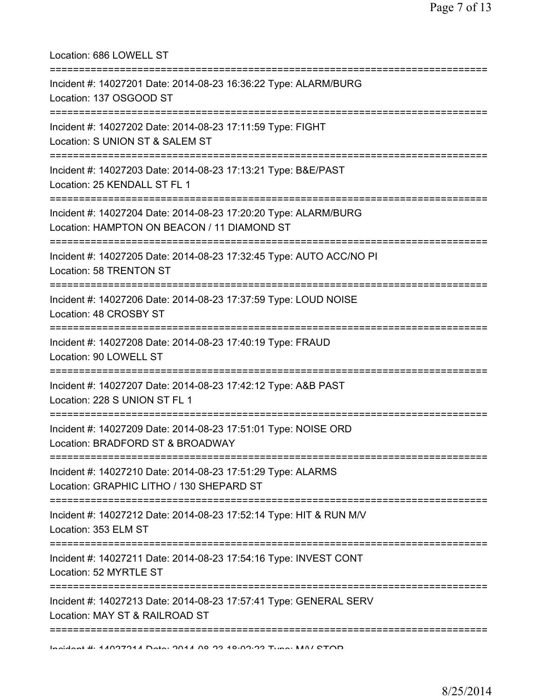| Location: 686 LOWELL ST                                                                                                              |
|--------------------------------------------------------------------------------------------------------------------------------------|
| Incident #: 14027201 Date: 2014-08-23 16:36:22 Type: ALARM/BURG<br>Location: 137 OSGOOD ST                                           |
| Incident #: 14027202 Date: 2014-08-23 17:11:59 Type: FIGHT<br>Location: S UNION ST & SALEM ST<br>==========================          |
| Incident #: 14027203 Date: 2014-08-23 17:13:21 Type: B&E/PAST<br>Location: 25 KENDALL ST FL 1<br>====================                |
| Incident #: 14027204 Date: 2014-08-23 17:20:20 Type: ALARM/BURG<br>Location: HAMPTON ON BEACON / 11 DIAMOND ST<br>:================= |
| Incident #: 14027205 Date: 2014-08-23 17:32:45 Type: AUTO ACC/NO PI<br>Location: 58 TRENTON ST                                       |
| Incident #: 14027206 Date: 2014-08-23 17:37:59 Type: LOUD NOISE<br>Location: 48 CROSBY ST                                            |
| Incident #: 14027208 Date: 2014-08-23 17:40:19 Type: FRAUD<br>Location: 90 LOWELL ST                                                 |
| Incident #: 14027207 Date: 2014-08-23 17:42:12 Type: A&B PAST<br>Location: 228 S UNION ST FL 1                                       |
| Incident #: 14027209 Date: 2014-08-23 17:51:01 Type: NOISE ORD<br>Location: BRADFORD ST & BROADWAY                                   |
| Incident #: 14027210 Date: 2014-08-23 17:51:29 Type: ALARMS<br>Location: GRAPHIC LITHO / 130 SHEPARD ST                              |
| Incident #: 14027212 Date: 2014-08-23 17:52:14 Type: HIT & RUN M/V<br>Location: 353 ELM ST                                           |
| Incident #: 14027211 Date: 2014-08-23 17:54:16 Type: INVEST CONT<br>Location: 52 MYRTLE ST                                           |
| Incident #: 14027213 Date: 2014-08-23 17:57:41 Type: GENERAL SERV<br>Location: MAY ST & RAILROAD ST                                  |
|                                                                                                                                      |

Incident #: 14027214 Date: 2014 08 23 18:02:23 Type: M/V STOP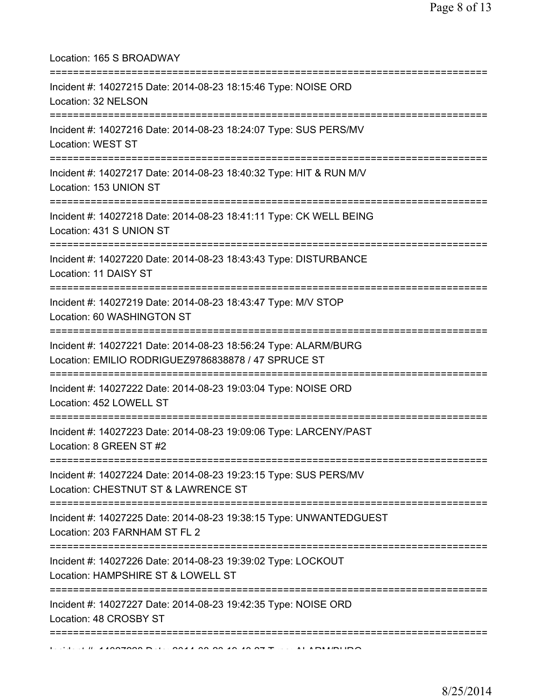| Location: 165 S BROADWAY                                                                                                                     |
|----------------------------------------------------------------------------------------------------------------------------------------------|
| Incident #: 14027215 Date: 2014-08-23 18:15:46 Type: NOISE ORD<br>Location: 32 NELSON                                                        |
| Incident #: 14027216 Date: 2014-08-23 18:24:07 Type: SUS PERS/MV<br>Location: WEST ST                                                        |
| Incident #: 14027217 Date: 2014-08-23 18:40:32 Type: HIT & RUN M/V<br>Location: 153 UNION ST                                                 |
| Incident #: 14027218 Date: 2014-08-23 18:41:11 Type: CK WELL BEING<br>Location: 431 S UNION ST                                               |
| Incident #: 14027220 Date: 2014-08-23 18:43:43 Type: DISTURBANCE<br>Location: 11 DAISY ST                                                    |
| Incident #: 14027219 Date: 2014-08-23 18:43:47 Type: M/V STOP<br>Location: 60 WASHINGTON ST<br>====================================          |
| Incident #: 14027221 Date: 2014-08-23 18:56:24 Type: ALARM/BURG<br>Location: EMILIO RODRIGUEZ9786838878 / 47 SPRUCE ST<br>:================= |
| Incident #: 14027222 Date: 2014-08-23 19:03:04 Type: NOISE ORD<br>Location: 452 LOWELL ST                                                    |
| Incident #: 14027223 Date: 2014-08-23 19:09:06 Type: LARCENY/PAST<br>Location: 8 GREEN ST #2                                                 |
| Incident #: 14027224 Date: 2014-08-23 19:23:15 Type: SUS PERS/MV<br>Location: CHESTNUT ST & LAWRENCE ST                                      |
| Incident #: 14027225 Date: 2014-08-23 19:38:15 Type: UNWANTEDGUEST<br>Location: 203 FARNHAM ST FL 2                                          |
| Incident #: 14027226 Date: 2014-08-23 19:39:02 Type: LOCKOUT<br>Location: HAMPSHIRE ST & LOWELL ST                                           |
| Incident #: 14027227 Date: 2014-08-23 19:42:35 Type: NOISE ORD<br>Location: 48 CROSBY ST                                                     |
| :===================                                                                                                                         |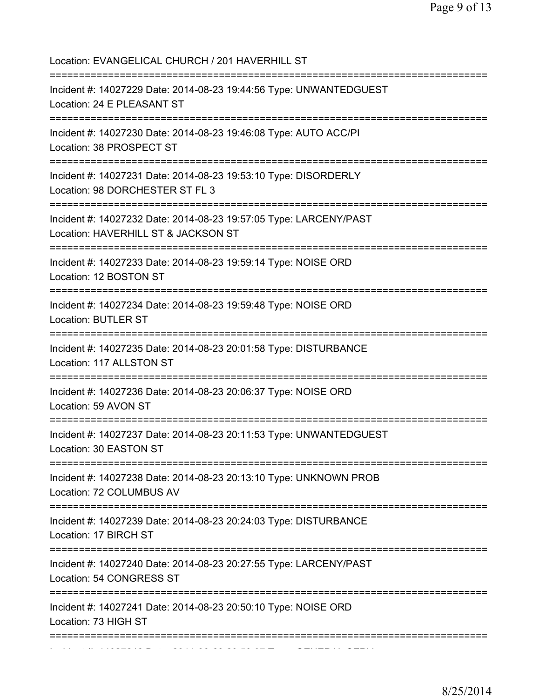Location: EVANGELICAL CHURCH / 201 HAVERHILL ST =========================================================================== Incident #: 14027229 Date: 2014-08-23 19:44:56 Type: UNWANTEDGUEST Location: 24 E PLEASANT ST =========================================================================== Incident #: 14027230 Date: 2014-08-23 19:46:08 Type: AUTO ACC/PI Location: 38 PROSPECT ST =========================================================================== Incident #: 14027231 Date: 2014-08-23 19:53:10 Type: DISORDERLY Location: 98 DORCHESTER ST FL 3 =========================================================================== Incident #: 14027232 Date: 2014-08-23 19:57:05 Type: LARCENY/PAST Location: HAVERHILL ST & JACKSON ST =========================================================================== Incident #: 14027233 Date: 2014-08-23 19:59:14 Type: NOISE ORD Location: 12 BOSTON ST =========================================================================== Incident #: 14027234 Date: 2014-08-23 19:59:48 Type: NOISE ORD Location: BUTLER ST =========================================================================== Incident #: 14027235 Date: 2014-08-23 20:01:58 Type: DISTURBANCE Location: 117 ALLSTON ST =========================================================================== Incident #: 14027236 Date: 2014-08-23 20:06:37 Type: NOISE ORD Location: 59 AVON ST =========================================================================== Incident #: 14027237 Date: 2014-08-23 20:11:53 Type: UNWANTEDGUEST Location: 30 EASTON ST =========================================================================== Incident #: 14027238 Date: 2014-08-23 20:13:10 Type: UNKNOWN PROB Location: 72 COLUMBUS AV =========================================================================== Incident #: 14027239 Date: 2014-08-23 20:24:03 Type: DISTURBANCE Location: 17 BIRCH ST =========================================================================== Incident #: 14027240 Date: 2014-08-23 20:27:55 Type: LARCENY/PAST Location: 54 CONGRESS ST =========================================================================== Incident #: 14027241 Date: 2014-08-23 20:50:10 Type: NOISE ORD Location: 73 HIGH ST =========================================================================== Incident #: 14027242 Date: 2014 08 23 20:53:07 Type: GENERAL SERV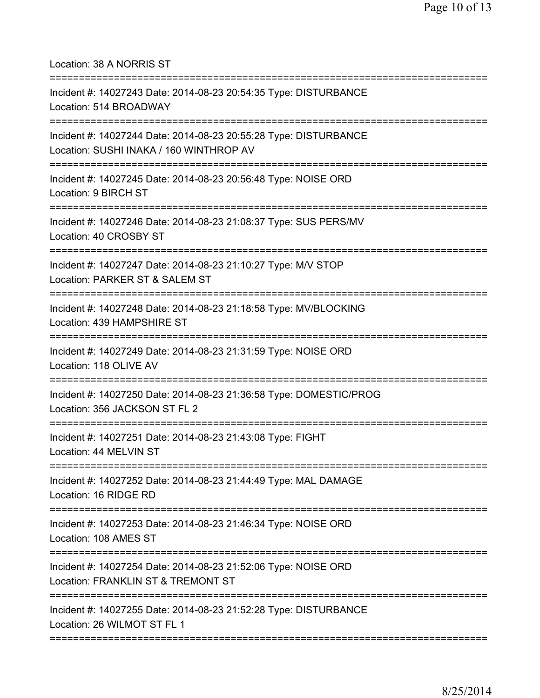Location: 38 A NORRIS ST

| Incident #: 14027243 Date: 2014-08-23 20:54:35 Type: DISTURBANCE<br>Location: 514 BROADWAY                         |
|--------------------------------------------------------------------------------------------------------------------|
| Incident #: 14027244 Date: 2014-08-23 20:55:28 Type: DISTURBANCE<br>Location: SUSHI INAKA / 160 WINTHROP AV        |
| Incident #: 14027245 Date: 2014-08-23 20:56:48 Type: NOISE ORD<br>Location: 9 BIRCH ST<br>======================== |
| Incident #: 14027246 Date: 2014-08-23 21:08:37 Type: SUS PERS/MV<br>Location: 40 CROSBY ST                         |
| Incident #: 14027247 Date: 2014-08-23 21:10:27 Type: M/V STOP<br>Location: PARKER ST & SALEM ST                    |
| Incident #: 14027248 Date: 2014-08-23 21:18:58 Type: MV/BLOCKING<br>Location: 439 HAMPSHIRE ST                     |
| Incident #: 14027249 Date: 2014-08-23 21:31:59 Type: NOISE ORD<br>Location: 118 OLIVE AV                           |
| Incident #: 14027250 Date: 2014-08-23 21:36:58 Type: DOMESTIC/PROG<br>Location: 356 JACKSON ST FL 2                |
| Incident #: 14027251 Date: 2014-08-23 21:43:08 Type: FIGHT<br>Location: 44 MELVIN ST                               |
| Incident #: 14027252 Date: 2014-08-23 21:44:49 Type: MAL DAMAGE<br>Location: 16 RIDGE RD                           |
| Incident #: 14027253 Date: 2014-08-23 21:46:34 Type: NOISE ORD<br>Location: 108 AMES ST                            |
| Incident #: 14027254 Date: 2014-08-23 21:52:06 Type: NOISE ORD<br>Location: FRANKLIN ST & TREMONT ST               |
| Incident #: 14027255 Date: 2014-08-23 21:52:28 Type: DISTURBANCE<br>Location: 26 WILMOT ST FL 1                    |
|                                                                                                                    |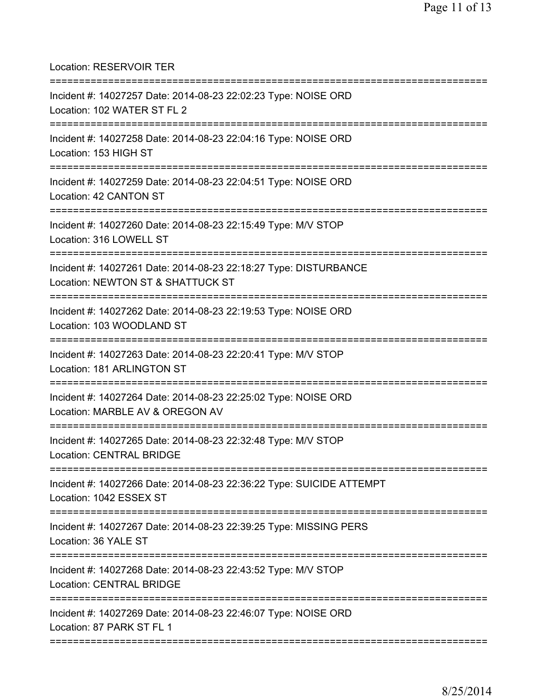Location: RESERVOIR TER =========================================================================== Incident #: 14027257 Date: 2014-08-23 22:02:23 Type: NOISE ORD Location: 102 WATER ST FL 2 =========================================================================== Incident #: 14027258 Date: 2014-08-23 22:04:16 Type: NOISE ORD Location: 153 HIGH ST =========================================================================== Incident #: 14027259 Date: 2014-08-23 22:04:51 Type: NOISE ORD Location: 42 CANTON ST =========================================================================== Incident #: 14027260 Date: 2014-08-23 22:15:49 Type: M/V STOP Location: 316 LOWELL ST =========================================================================== Incident #: 14027261 Date: 2014-08-23 22:18:27 Type: DISTURBANCE Location: NEWTON ST & SHATTUCK ST =========================================================================== Incident #: 14027262 Date: 2014-08-23 22:19:53 Type: NOISE ORD Location: 103 WOODLAND ST =========================================================================== Incident #: 14027263 Date: 2014-08-23 22:20:41 Type: M/V STOP Location: 181 ARLINGTON ST =========================================================================== Incident #: 14027264 Date: 2014-08-23 22:25:02 Type: NOISE ORD Location: MARBLE AV & OREGON AV =========================================================================== Incident #: 14027265 Date: 2014-08-23 22:32:48 Type: M/V STOP Location: CENTRAL BRIDGE =========================================================================== Incident #: 14027266 Date: 2014-08-23 22:36:22 Type: SUICIDE ATTEMPT Location: 1042 ESSEX ST =========================================================================== Incident #: 14027267 Date: 2014-08-23 22:39:25 Type: MISSING PERS Location: 36 YALE ST =========================================================================== Incident #: 14027268 Date: 2014-08-23 22:43:52 Type: M/V STOP Location: CENTRAL BRIDGE =========================================================================== Incident #: 14027269 Date: 2014-08-23 22:46:07 Type: NOISE ORD Location: 87 PARK ST FL 1 ===========================================================================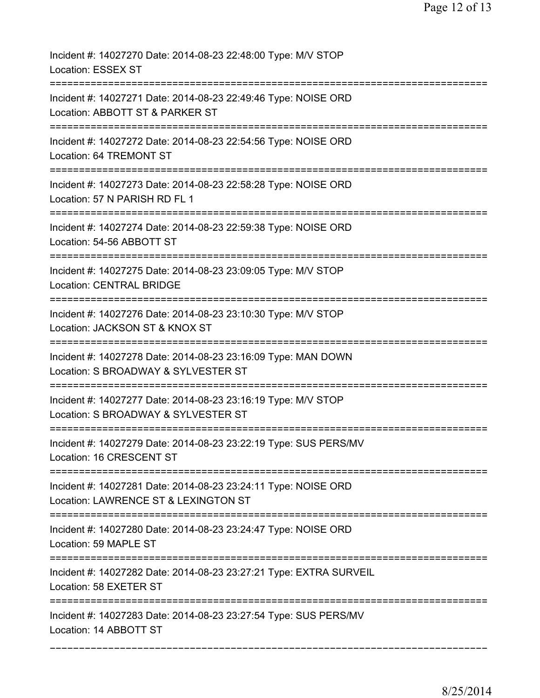| Incident #: 14027270 Date: 2014-08-23 22:48:00 Type: M/V STOP<br>Location: ESSEX ST                                           |
|-------------------------------------------------------------------------------------------------------------------------------|
| Incident #: 14027271 Date: 2014-08-23 22:49:46 Type: NOISE ORD<br>Location: ABBOTT ST & PARKER ST                             |
| Incident #: 14027272 Date: 2014-08-23 22:54:56 Type: NOISE ORD<br>Location: 64 TREMONT ST                                     |
| Incident #: 14027273 Date: 2014-08-23 22:58:28 Type: NOISE ORD<br>Location: 57 N PARISH RD FL 1                               |
| Incident #: 14027274 Date: 2014-08-23 22:59:38 Type: NOISE ORD<br>Location: 54-56 ABBOTT ST                                   |
| Incident #: 14027275 Date: 2014-08-23 23:09:05 Type: M/V STOP<br><b>Location: CENTRAL BRIDGE</b>                              |
| Incident #: 14027276 Date: 2014-08-23 23:10:30 Type: M/V STOP<br>Location: JACKSON ST & KNOX ST<br>========================== |
| Incident #: 14027278 Date: 2014-08-23 23:16:09 Type: MAN DOWN<br>Location: S BROADWAY & SYLVESTER ST                          |
| Incident #: 14027277 Date: 2014-08-23 23:16:19 Type: M/V STOP<br>Location: S BROADWAY & SYLVESTER ST                          |
| Incident #: 14027279 Date: 2014-08-23 23:22:19 Type: SUS PERS/MV<br>Location: 16 CRESCENT ST                                  |
| Incident #: 14027281 Date: 2014-08-23 23:24:11 Type: NOISE ORD<br>Location: LAWRENCE ST & LEXINGTON ST                        |
| Incident #: 14027280 Date: 2014-08-23 23:24:47 Type: NOISE ORD<br>Location: 59 MAPLE ST                                       |
| Incident #: 14027282 Date: 2014-08-23 23:27:21 Type: EXTRA SURVEIL<br>Location: 58 EXETER ST                                  |
| Incident #: 14027283 Date: 2014-08-23 23:27:54 Type: SUS PERS/MV<br>Location: 14 ABBOTT ST                                    |
|                                                                                                                               |